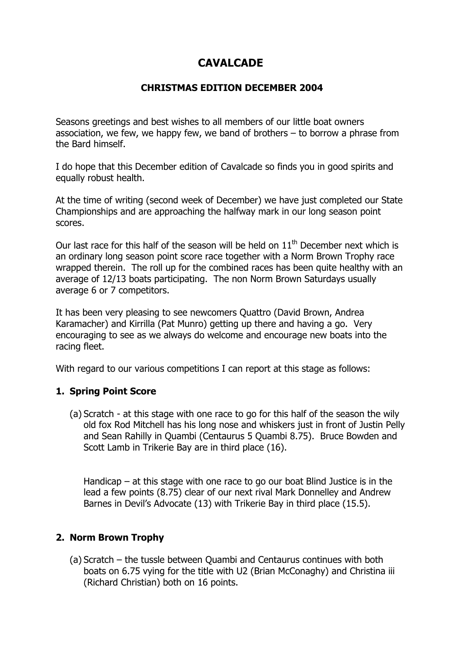# **CAVALCADE**

# **CHRISTMAS EDITION DECEMBER 2004**

Seasons greetings and best wishes to all members of our little boat owners association, we few, we happy few, we band of brothers – to borrow a phrase from the Bard himself.

I do hope that this December edition of Cavalcade so finds you in good spirits and equally robust health.

At the time of writing (second week of December) we have just completed our State Championships and are approaching the halfway mark in our long season point scores.

Our last race for this half of the season will be held on  $11<sup>th</sup>$  December next which is an ordinary long season point score race together with a Norm Brown Trophy race wrapped therein. The roll up for the combined races has been quite healthy with an average of 12/13 boats participating. The non Norm Brown Saturdays usually average 6 or 7 competitors.

It has been very pleasing to see newcomers Quattro (David Brown, Andrea Karamacher) and Kirrilla (Pat Munro) getting up there and having a go. Very encouraging to see as we always do welcome and encourage new boats into the racing fleet.

With regard to our various competitions I can report at this stage as follows:

## **1. Spring Point Score**

(a) Scratch - at this stage with one race to go for this half of the season the wily old fox Rod Mitchell has his long nose and whiskers just in front of Justin Pelly and Sean Rahilly in Quambi (Centaurus 5 Quambi 8.75). Bruce Bowden and Scott Lamb in Trikerie Bay are in third place (16).

Handicap – at this stage with one race to go our boat Blind Justice is in the lead a few points (8.75) clear of our next rival Mark Donnelley and Andrew Barnes in Devil's Advocate (13) with Trikerie Bay in third place (15.5).

## **2. Norm Brown Trophy**

(a) Scratch – the tussle between Quambi and Centaurus continues with both boats on 6.75 vying for the title with U2 (Brian McConaghy) and Christina iii (Richard Christian) both on 16 points.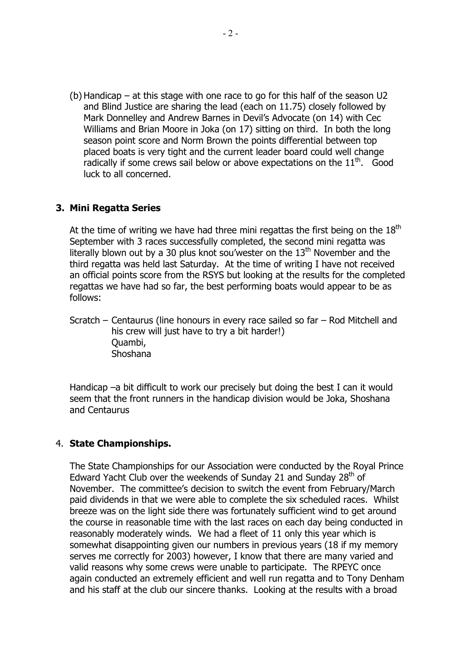(b) Handicap – at this stage with one race to go for this half of the season U2 and Blind Justice are sharing the lead (each on 11.75) closely followed by Mark Donnelley and Andrew Barnes in Devil's Advocate (on 14) with Cec Williams and Brian Moore in Joka (on 17) sitting on third. In both the long season point score and Norm Brown the points differential between top placed boats is very tight and the current leader board could well change radically if some crews sail below or above expectations on the  $11<sup>th</sup>$ . Good luck to all concerned.

## **3. Mini Regatta Series**

At the time of writing we have had three mini regattas the first being on the  $18<sup>th</sup>$ September with 3 races successfully completed, the second mini regatta was literally blown out by a 30 plus knot sou'wester on the  $13<sup>th</sup>$  November and the third regatta was held last Saturday. At the time of writing I have not received an official points score from the RSYS but looking at the results for the completed regattas we have had so far, the best performing boats would appear to be as follows:

Scratch – Centaurus (line honours in every race sailed so far – Rod Mitchell and his crew will just have to try a bit harder!) Quambi, Shoshana

Handicap –a bit difficult to work our precisely but doing the best I can it would seem that the front runners in the handicap division would be Joka, Shoshana and Centaurus

#### 4. **State Championships.**

The State Championships for our Association were conducted by the Royal Prince Edward Yacht Club over the weekends of Sunday 21 and Sunday 28<sup>th</sup> of November. The committee's decision to switch the event from February/March paid dividends in that we were able to complete the six scheduled races. Whilst breeze was on the light side there was fortunately sufficient wind to get around the course in reasonable time with the last races on each day being conducted in reasonably moderately winds. We had a fleet of 11 only this year which is somewhat disappointing given our numbers in previous years (18 if my memory serves me correctly for 2003) however, I know that there are many varied and valid reasons why some crews were unable to participate. The RPEYC once again conducted an extremely efficient and well run regatta and to Tony Denham and his staff at the club our sincere thanks. Looking at the results with a broad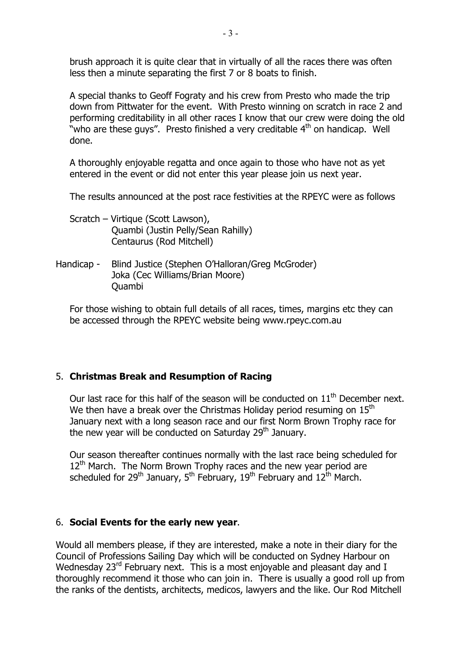brush approach it is quite clear that in virtually of all the races there was often less then a minute separating the first 7 or 8 boats to finish.

A special thanks to Geoff Fograty and his crew from Presto who made the trip down from Pittwater for the event. With Presto winning on scratch in race 2 and performing creditability in all other races I know that our crew were doing the old "who are these guys". Presto finished a very creditable  $4<sup>th</sup>$  on handicap. Well done.

A thoroughly enjoyable regatta and once again to those who have not as yet entered in the event or did not enter this year please join us next year.

The results announced at the post race festivities at the RPEYC were as follows

- Scratch Virtique (Scott Lawson), Quambi (Justin Pelly/Sean Rahilly) Centaurus (Rod Mitchell)
- Handicap Blind Justice (Stephen O'Halloran/Greg McGroder) Joka (Cec Williams/Brian Moore) Quambi

For those wishing to obtain full details of all races, times, margins etc they can be accessed through the RPEYC website being www.rpeyc.com.au

## 5. **Christmas Break and Resumption of Racing**

Our last race for this half of the season will be conducted on  $11<sup>th</sup>$  December next. We then have a break over the Christmas Holiday period resuming on  $15<sup>th</sup>$ January next with a long season race and our first Norm Brown Trophy race for the new year will be conducted on Saturday  $29<sup>th</sup>$  January.

Our season thereafter continues normally with the last race being scheduled for  $12<sup>th</sup>$  March. The Norm Brown Trophy races and the new year period are scheduled for 29<sup>th</sup> January, 5<sup>th</sup> February, 19<sup>th</sup> February and 12<sup>th</sup> March.

## 6. **Social Events for the early new year**.

Would all members please, if they are interested, make a note in their diary for the Council of Professions Sailing Day which will be conducted on Sydney Harbour on Wednesday 23<sup>rd</sup> February next. This is a most enjoyable and pleasant day and I thoroughly recommend it those who can join in. There is usually a good roll up from the ranks of the dentists, architects, medicos, lawyers and the like. Our Rod Mitchell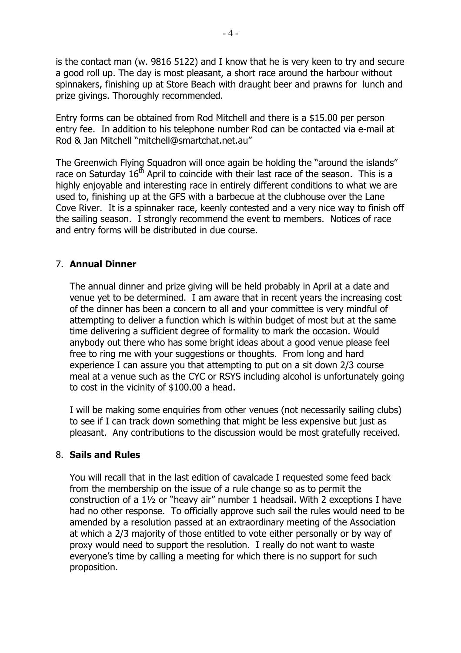is the contact man (w. 9816 5122) and I know that he is very keen to try and secure a good roll up. The day is most pleasant, a short race around the harbour without spinnakers, finishing up at Store Beach with draught beer and prawns for lunch and prize givings. Thoroughly recommended.

Entry forms can be obtained from Rod Mitchell and there is a \$15.00 per person entry fee. In addition to his telephone number Rod can be contacted via e-mail at Rod & Jan Mitchell "mitchell@smartchat.net.au"

The Greenwich Flying Squadron will once again be holding the "around the islands" race on Saturday  $16<sup>th</sup>$  April to coincide with their last race of the season. This is a highly enjoyable and interesting race in entirely different conditions to what we are used to, finishing up at the GFS with a barbecue at the clubhouse over the Lane Cove River. It is a spinnaker race, keenly contested and a very nice way to finish off the sailing season. I strongly recommend the event to members. Notices of race and entry forms will be distributed in due course.

## 7. **Annual Dinner**

The annual dinner and prize giving will be held probably in April at a date and venue yet to be determined. I am aware that in recent years the increasing cost of the dinner has been a concern to all and your committee is very mindful of attempting to deliver a function which is within budget of most but at the same time delivering a sufficient degree of formality to mark the occasion. Would anybody out there who has some bright ideas about a good venue please feel free to ring me with your suggestions or thoughts. From long and hard experience I can assure you that attempting to put on a sit down 2/3 course meal at a venue such as the CYC or RSYS including alcohol is unfortunately going to cost in the vicinity of \$100.00 a head.

I will be making some enquiries from other venues (not necessarily sailing clubs) to see if I can track down something that might be less expensive but just as pleasant. Any contributions to the discussion would be most gratefully received.

#### 8. **Sails and Rules**

You will recall that in the last edition of cavalcade I requested some feed back from the membership on the issue of a rule change so as to permit the construction of a 1½ or "heavy air" number 1 headsail. With 2 exceptions I have had no other response. To officially approve such sail the rules would need to be amended by a resolution passed at an extraordinary meeting of the Association at which a 2/3 majority of those entitled to vote either personally or by way of proxy would need to support the resolution. I really do not want to waste everyone's time by calling a meeting for which there is no support for such proposition.